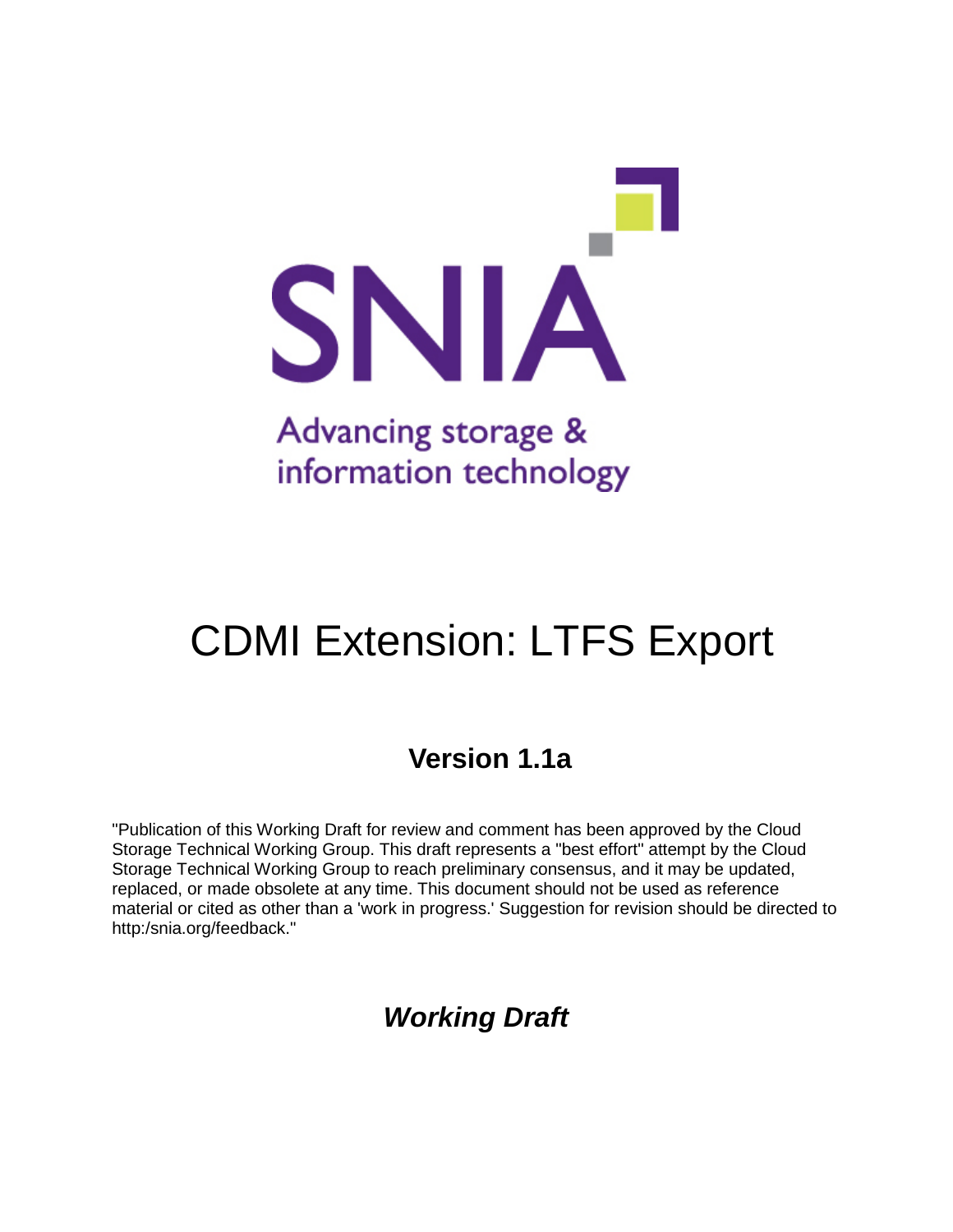

# CDMI Extension: LTFS Export

## **Version 1.1a**

"Publication of this Working Draft for review and comment has been approved by the Cloud Storage Technical Working Group. This draft represents a "best effort" attempt by the Cloud Storage Technical Working Group to reach preliminary consensus, and it may be updated, replaced, or made obsolete at any time. This document should not be used as reference material or cited as other than a 'work in progress.' Suggestion for revision should be directed to http:/snia.org/feedback."

# *Working Draft*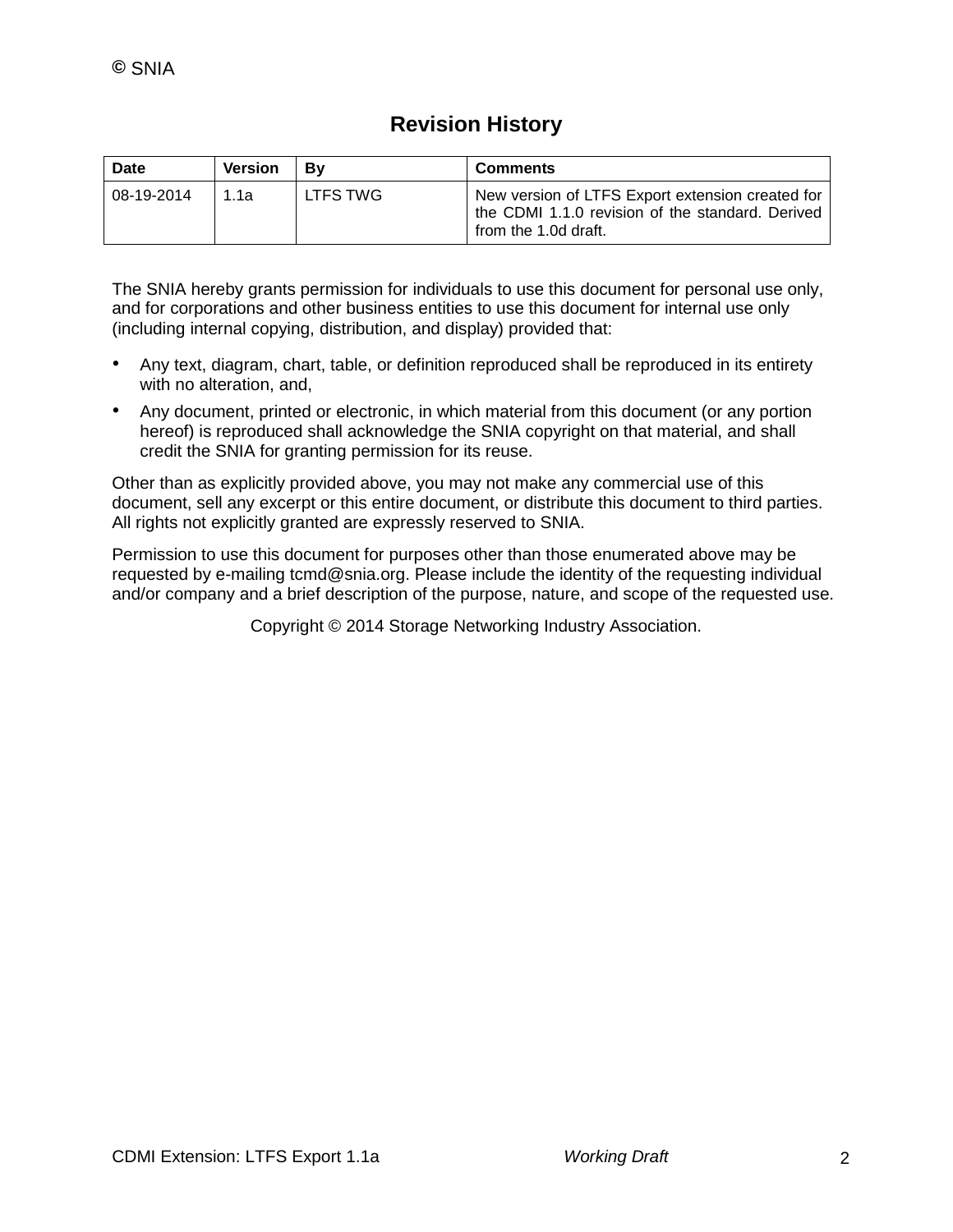### **Revision History**

| Date       | <b>Version</b> | Bv       | <b>Comments</b>                                                                                                              |
|------------|----------------|----------|------------------------------------------------------------------------------------------------------------------------------|
| 08-19-2014 | ่ 1 1 ล        | LTFS TWG | New version of LTFS Export extension created for<br>the CDMI 1.1.0 revision of the standard. Derived<br>from the 1.0d draft. |

The SNIA hereby grants permission for individuals to use this document for personal use only, and for corporations and other business entities to use this document for internal use only (including internal copying, distribution, and display) provided that:

- Any text, diagram, chart, table, or definition reproduced shall be reproduced in its entirety with no alteration, and,
- Any document, printed or electronic, in which material from this document (or any portion hereof) is reproduced shall acknowledge the SNIA copyright on that material, and shall credit the SNIA for granting permission for its reuse.

Other than as explicitly provided above, you may not make any commercial use of this document, sell any excerpt or this entire document, or distribute this document to third parties. All rights not explicitly granted are expressly reserved to SNIA.

Permission to use this document for purposes other than those enumerated above may be requested by e-mailing tcmd@snia.org. Please include the identity of the requesting individual and/or company and a brief description of the purpose, nature, and scope of the requested use.

Copyright © 2014 Storage Networking Industry Association.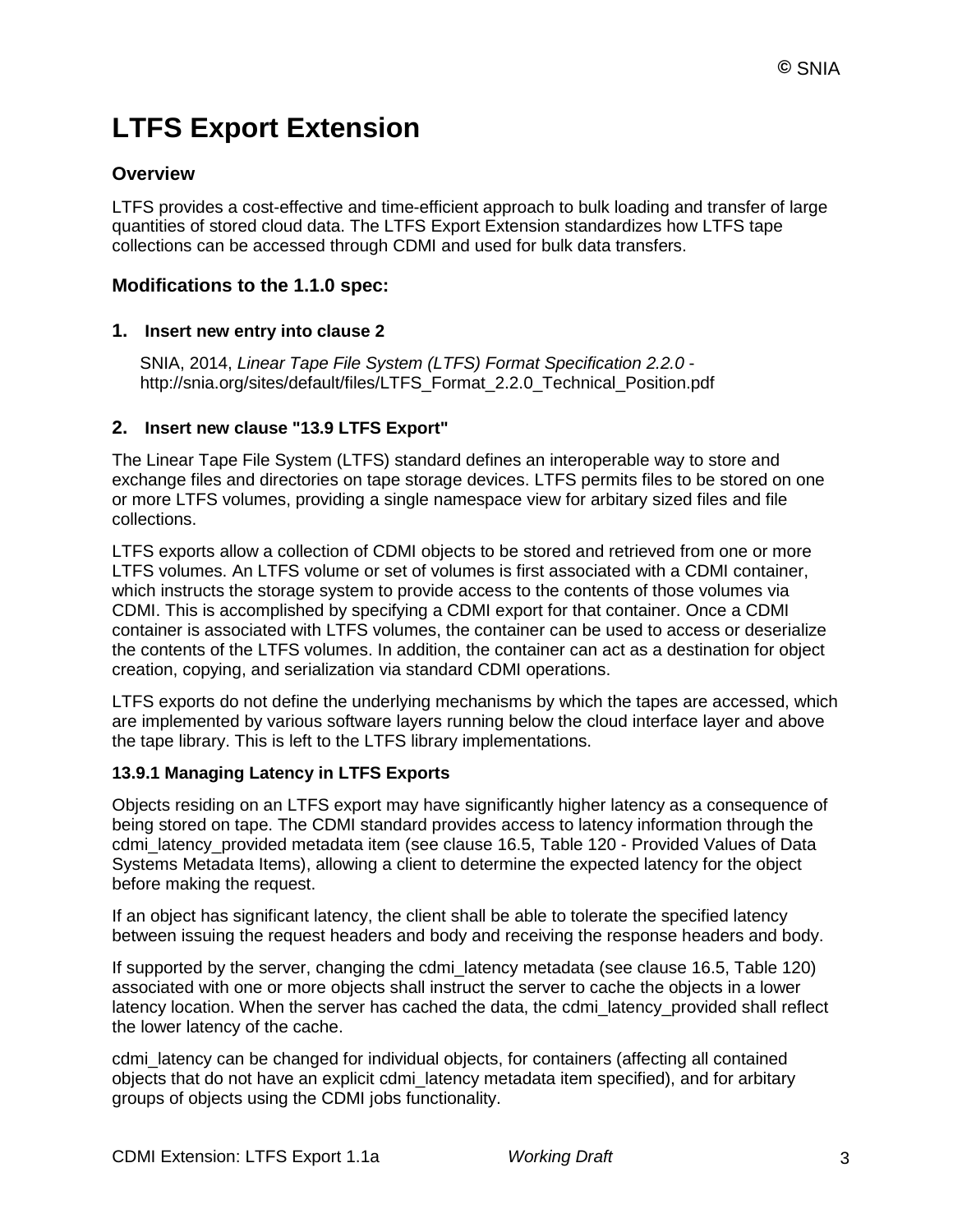# **LTFS Export Extension**

#### **Overview**

LTFS provides a cost-effective and time-efficient approach to bulk loading and transfer of large quantities of stored cloud data. The LTFS Export Extension standardizes how LTFS tape collections can be accessed through CDMI and used for bulk data transfers.

#### **Modifications to the 1.1.0 spec:**

#### **1. Insert new entry into clause 2**

SNIA, 2014, *Linear Tape File System (LTFS) Format Specification 2.2.0* http://snia.org/sites/default/files/LTFS\_Format\_2.2.0\_Technical\_Position.pdf

#### **2. Insert new clause "13.9 LTFS Export"**

The Linear Tape File System (LTFS) standard defines an interoperable way to store and exchange files and directories on tape storage devices. LTFS permits files to be stored on one or more LTFS volumes, providing a single namespace view for arbitary sized files and file collections.

LTFS exports allow a collection of CDMI objects to be stored and retrieved from one or more LTFS volumes. An LTFS volume or set of volumes is first associated with a CDMI container, which instructs the storage system to provide access to the contents of those volumes via CDMI. This is accomplished by specifying a CDMI export for that container. Once a CDMI container is associated with LTFS volumes, the container can be used to access or deserialize the contents of the LTFS volumes. In addition, the container can act as a destination for object creation, copying, and serialization via standard CDMI operations.

LTFS exports do not define the underlying mechanisms by which the tapes are accessed, which are implemented by various software layers running below the cloud interface layer and above the tape library. This is left to the LTFS library implementations.

#### **13.9.1 Managing Latency in LTFS Exports**

Objects residing on an LTFS export may have significantly higher latency as a consequence of being stored on tape. The CDMI standard provides access to latency information through the cdmi\_latency\_provided metadata item (see clause 16.5, Table 120 - Provided Values of Data Systems Metadata Items), allowing a client to determine the expected latency for the object before making the request.

If an object has significant latency, the client shall be able to tolerate the specified latency between issuing the request headers and body and receiving the response headers and body.

If supported by the server, changing the cdmi\_latency metadata (see clause 16.5, Table 120) associated with one or more objects shall instruct the server to cache the objects in a lower latency location. When the server has cached the data, the cdmi latency provided shall reflect the lower latency of the cache.

cdmi\_latency can be changed for individual objects, for containers (affecting all contained objects that do not have an explicit cdmi\_latency metadata item specified), and for arbitary groups of objects using the CDMI jobs functionality.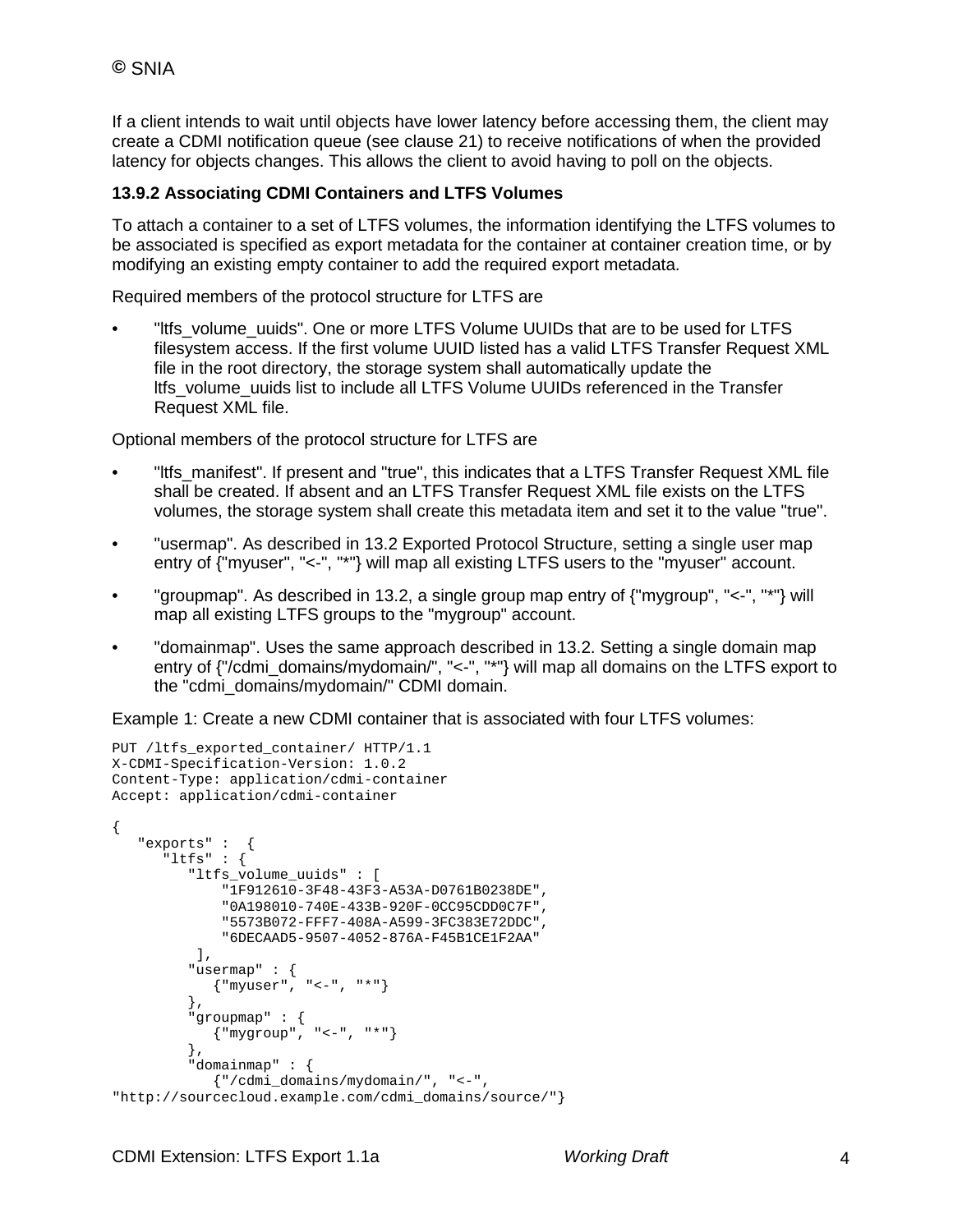If a client intends to wait until objects have lower latency before accessing them, the client may create a CDMI notification queue (see clause 21) to receive notifications of when the provided latency for objects changes. This allows the client to avoid having to poll on the objects.

#### **13.9.2 Associating CDMI Containers and LTFS Volumes**

To attach a container to a set of LTFS volumes, the information identifying the LTFS volumes to be associated is specified as export metadata for the container at container creation time, or by modifying an existing empty container to add the required export metadata.

Required members of the protocol structure for LTFS are

"Itfs\_volume\_uuids". One or more LTFS Volume UUIDs that are to be used for LTFS filesystem access. If the first volume UUID listed has a valid LTFS Transfer Request XML file in the root directory, the storage system shall automatically update the ltfs\_volume\_uuids list to include all LTFS Volume UUIDs referenced in the Transfer Request XML file.

Optional members of the protocol structure for LTFS are

- Itts manifest". If present and "true", this indicates that a LTFS Transfer Request XML file shall be created. If absent and an LTFS Transfer Request XML file exists on the LTFS volumes, the storage system shall create this metadata item and set it to the value "true".
- "usermap". As described in 13.2 Exported Protocol Structure, setting a single user map entry of {"myuser", "<-", "\*"} will map all existing LTFS users to the "myuser" account.
- "groupmap". As described in 13.2, a single group map entry of {"mygroup", "<-", "\*"} will map all existing LTFS groups to the "mygroup" account.
- "domainmap". Uses the same approach described in 13.2. Setting a single domain map entry of {"/cdmi\_domains/mydomain/", "<-", "\*"} will map all domains on the LTFS export to the "cdmi\_domains/mydomain/" CDMI domain.

Example 1: Create a new CDMI container that is associated with four LTFS volumes:

```
PUT /ltfs_exported_container/ HTTP/1.1
X-CDMI-Specification-Version: 1.0.2
Content-Type: application/cdmi-container
Accept: application/cdmi-container
{
    "exports" : {
       "ltfs" : {
          "ltfs_volume_uuids" : [
              "1F912610-3F48-43F3-A53A-D0761B0238DE",
              "0A198010-740E-433B-920F-0CC95CDD0C7F",
              "5573B072-FFF7-408A-A599-3FC383E72DDC",
              "6DECAAD5-9507-4052-876A-F45B1CE1F2AA"
           ],
          "usermap" : {
             {"myuser", "<-", "*"}
          },
          "groupmap" : {
             {"mygroup", "<-", "*"}
          },
          "domainmap" : {
             {"/cdmi_domains/mydomain/", "<-", 
"http://sourcecloud.example.com/cdmi_domains/source/"}
```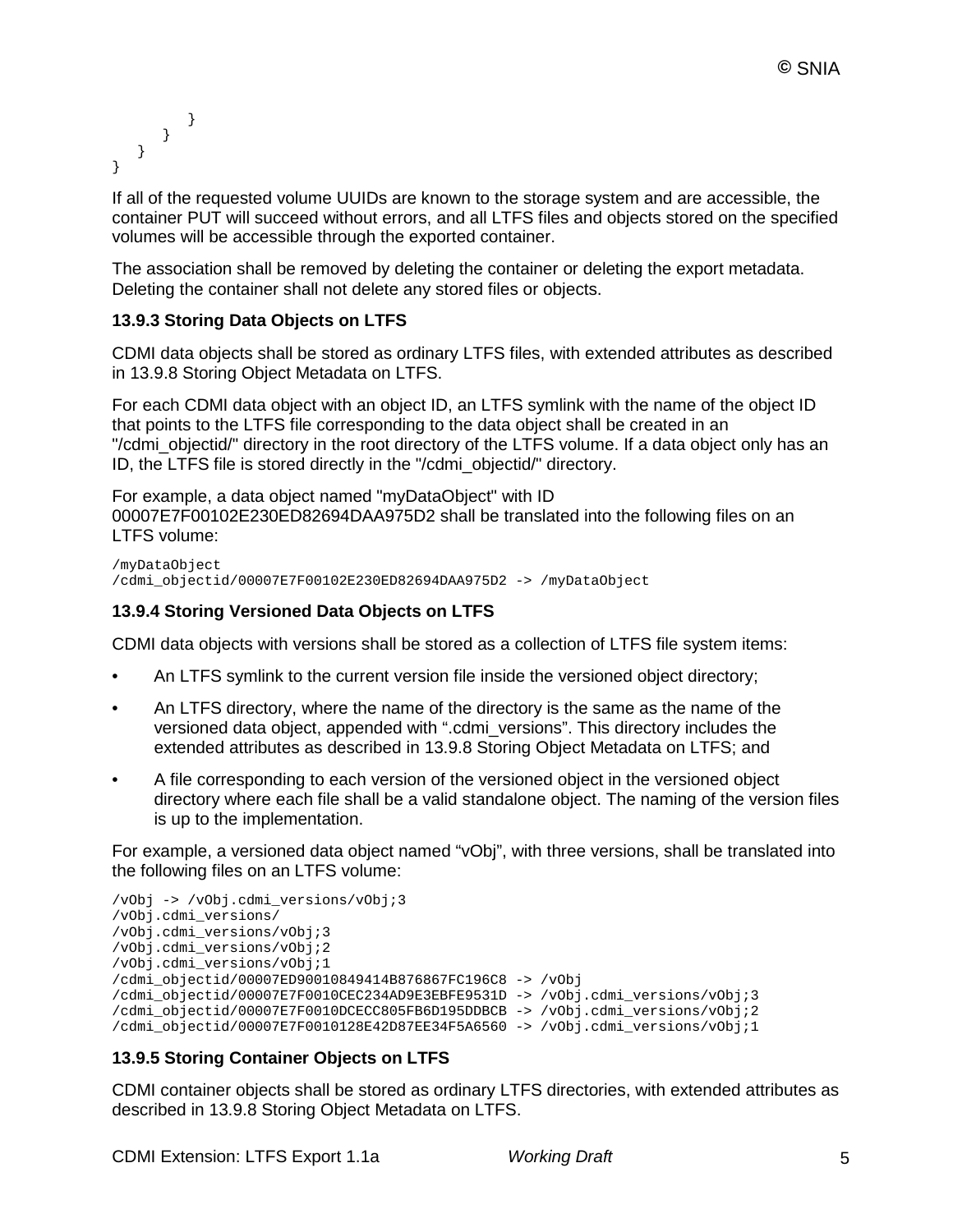```
 }
      }
   }
}
```
If all of the requested volume UUIDs are known to the storage system and are accessible, the container PUT will succeed without errors, and all LTFS files and objects stored on the specified volumes will be accessible through the exported container.

The association shall be removed by deleting the container or deleting the export metadata. Deleting the container shall not delete any stored files or objects.

#### **13.9.3 Storing Data Objects on LTFS**

CDMI data objects shall be stored as ordinary LTFS files, with extended attributes as described in 13.9.8 Storing Object Metadata on LTFS.

For each CDMI data object with an object ID, an LTFS symlink with the name of the object ID that points to the LTFS file corresponding to the data object shall be created in an "/cdmi\_objectid/" directory in the root directory of the LTFS volume. If a data object only has an ID, the LTFS file is stored directly in the "/cdmi\_objectid/" directory.

For example, a data object named "myDataObject" with ID 00007E7F00102E230ED82694DAA975D2 shall be translated into the following files on an LTFS volume:

```
/myDataObject
/cdmi_objectid/00007E7F00102E230ED82694DAA975D2 -> /myDataObject
```
#### **13.9.4 Storing Versioned Data Objects on LTFS**

CDMI data objects with versions shall be stored as a collection of LTFS file system items:

- An LTFS symlink to the current version file inside the versioned object directory;
- An LTFS directory, where the name of the directory is the same as the name of the versioned data object, appended with ".cdmi\_versions". This directory includes the extended attributes as described in 13.9.8 Storing Object Metadata on LTFS; and
- A file corresponding to each version of the versioned object in the versioned object directory where each file shall be a valid standalone object. The naming of the version files is up to the implementation.

For example, a versioned data object named "vObj", with three versions, shall be translated into the following files on an LTFS volume:

```
/vObj -> /vObj.cdmi_versions/vObj;3
/vObj.cdmi_versions/
/vObj.cdmi_versions/vObj;3 
/vObj.cdmi_versions/vObj;2 
/vObj.cdmi_versions/vObj;1
/cdmi_objectid/00007ED90010849414B876867FC196C8 -> /vObj
/cdmi_objectid/00007E7F0010CEC234AD9E3EBFE9531D -> /vObj.cdmi_versions/vObj;3
/cdmi_objectid/00007E7F0010DCECC805FB6D195DDBCB -> /vObj.cdmi_versions/vObj;2
/cdmi_objectid/00007E7F0010128E42D87EE34F5A6560 -> /vObj.cdmi_versions/vObj;1
```
#### **13.9.5 Storing Container Objects on LTFS**

CDMI container objects shall be stored as ordinary LTFS directories, with extended attributes as described in 13.9.8 Storing Object Metadata on LTFS.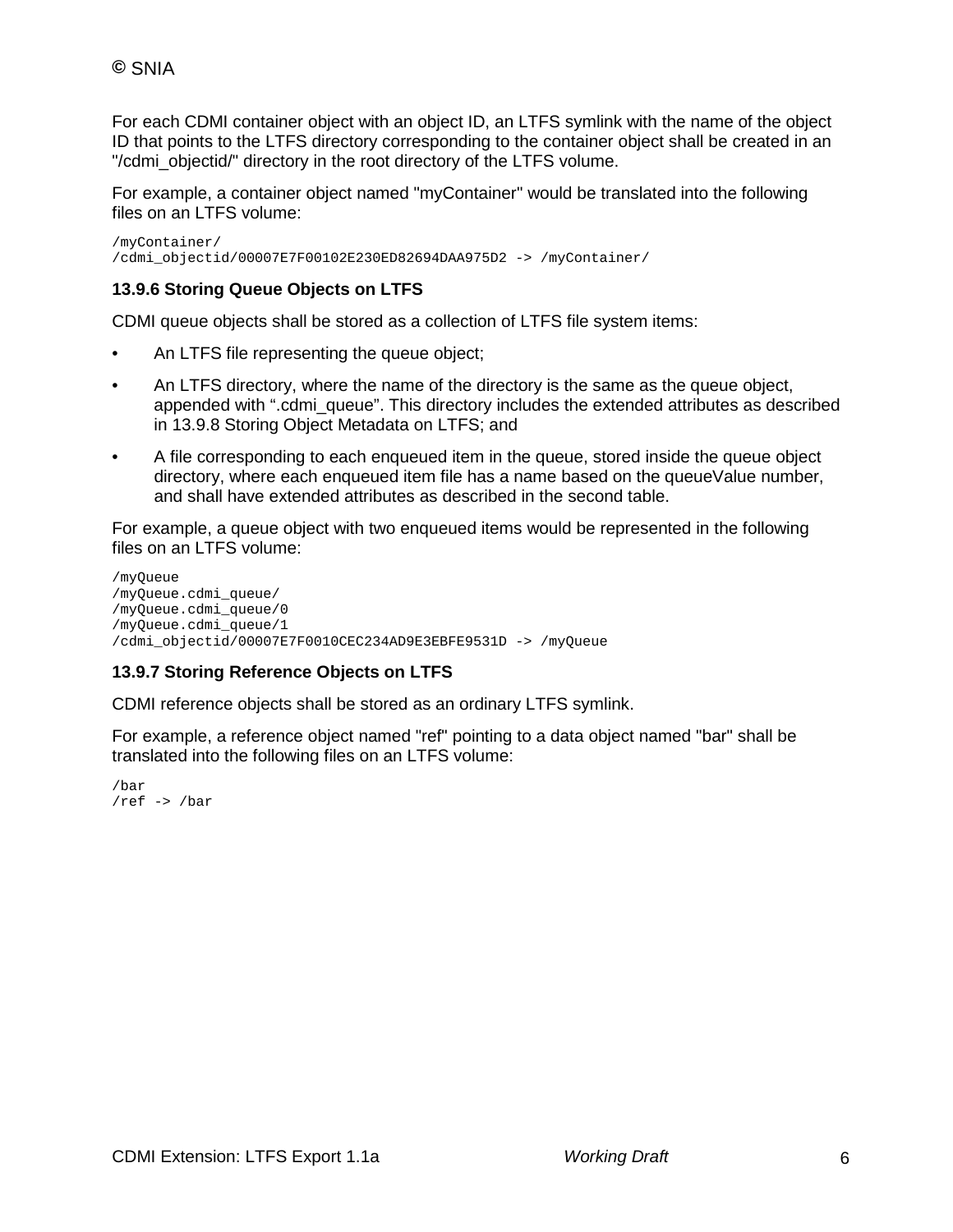For each CDMI container object with an object ID, an LTFS symlink with the name of the object ID that points to the LTFS directory corresponding to the container object shall be created in an "/cdmi\_objectid/" directory in the root directory of the LTFS volume.

For example, a container object named "myContainer" would be translated into the following files on an LTFS volume:

/myContainer/ /cdmi\_objectid/00007E7F00102E230ED82694DAA975D2 -> /myContainer/

#### **13.9.6 Storing Queue Objects on LTFS**

CDMI queue objects shall be stored as a collection of LTFS file system items:

- An LTFS file representing the queue object;
- An LTFS directory, where the name of the directory is the same as the queue object, appended with ".cdmi\_queue". This directory includes the extended attributes as described in 13.9.8 Storing Object Metadata on LTFS; and
- A file corresponding to each enqueued item in the queue, stored inside the queue object directory, where each enqueued item file has a name based on the queueValue number, and shall have extended attributes as described in the second table.

For example, a queue object with two enqueued items would be represented in the following files on an LTFS volume:

```
/myQueue
/myQueue.cdmi_queue/
/myQueue.cdmi_queue/0
/myQueue.cdmi_queue/1
/cdmi_objectid/00007E7F0010CEC234AD9E3EBFE9531D -> /myQueue
```
#### **13.9.7 Storing Reference Objects on LTFS**

CDMI reference objects shall be stored as an ordinary LTFS symlink.

For example, a reference object named "ref" pointing to a data object named "bar" shall be translated into the following files on an LTFS volume:

/bar /ref -> /bar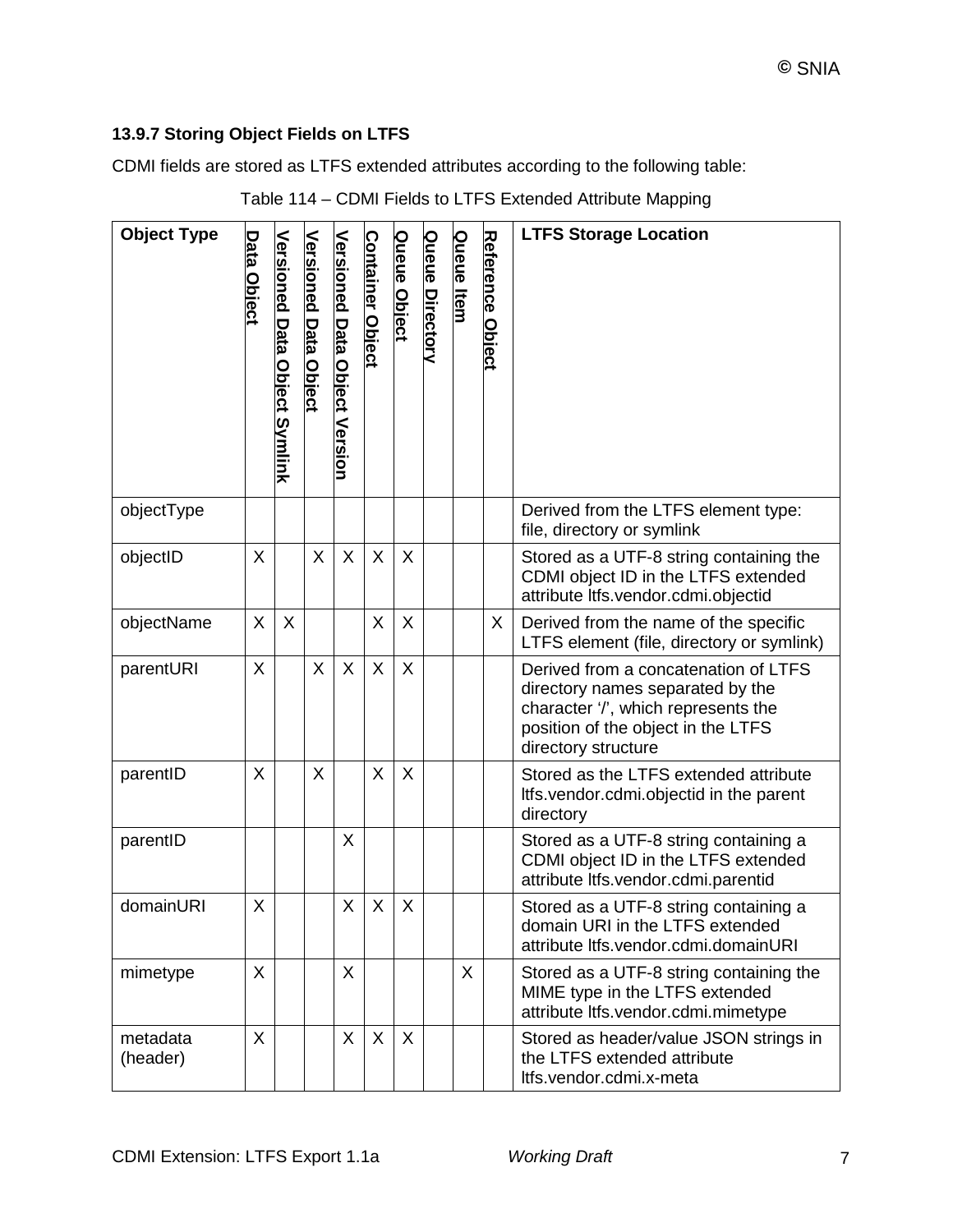### **13.9.7 Storing Object Fields on LTFS**

CDMI fields are stored as LTFS extended attributes according to the following table:

| <b>Object Type</b>   | Data Object | <b>Versioned Data Object Symlink</b> | <b>Versioned Data Object</b> | <b>Versioned Data Object Version</b> | <b>Container Object</b> | Queue Object | <b>Queue Directory</b> | Queue Item | <b>Reference Object</b> | <b>LTFS Storage Location</b>                                                                                                                                                 |
|----------------------|-------------|--------------------------------------|------------------------------|--------------------------------------|-------------------------|--------------|------------------------|------------|-------------------------|------------------------------------------------------------------------------------------------------------------------------------------------------------------------------|
| objectType           |             |                                      |                              |                                      |                         |              |                        |            |                         | Derived from the LTFS element type:<br>file, directory or symlink                                                                                                            |
| objectID             | X           |                                      | X                            | X                                    | X                       | X            |                        |            |                         | Stored as a UTF-8 string containing the<br>CDMI object ID in the LTFS extended<br>attribute ltfs.vendor.cdmi.objectid                                                        |
| objectName           | X           | X                                    |                              |                                      | X                       | X            |                        |            | X                       | Derived from the name of the specific<br>LTFS element (file, directory or symlink)                                                                                           |
| parentURI            | X           |                                      | X                            | X                                    | X                       | X            |                        |            |                         | Derived from a concatenation of LTFS<br>directory names separated by the<br>character '/', which represents the<br>position of the object in the LTFS<br>directory structure |
| parentID             | X           |                                      | X                            |                                      | X                       | X            |                        |            |                         | Stored as the LTFS extended attribute<br>Itfs.vendor.cdmi.objectid in the parent<br>directory                                                                                |
| parentID             |             |                                      |                              | X                                    |                         |              |                        |            |                         | Stored as a UTF-8 string containing a<br>CDMI object ID in the LTFS extended<br>attribute ltfs.vendor.cdmi.parentid                                                          |
| domainURI            | X           |                                      |                              | X                                    | X                       | X            |                        |            |                         | Stored as a UTF-8 string containing a<br>domain URI in the LTFS extended<br>attribute ltfs.vendor.cdmi.domainURI                                                             |
| mimetype             | X           |                                      |                              | X                                    |                         |              |                        | X          |                         | Stored as a UTF-8 string containing the<br>MIME type in the LTFS extended<br>attribute ltfs.vendor.cdmi.mimetype                                                             |
| metadata<br>(header) | X           |                                      |                              | $\sf X$                              | $\sf X$                 | $\sf X$      |                        |            |                         | Stored as header/value JSON strings in<br>the LTFS extended attribute<br>Itfs.vendor.cdmi.x-meta                                                                             |

#### Table 114 – CDMI Fields to LTFS Extended Attribute Mapping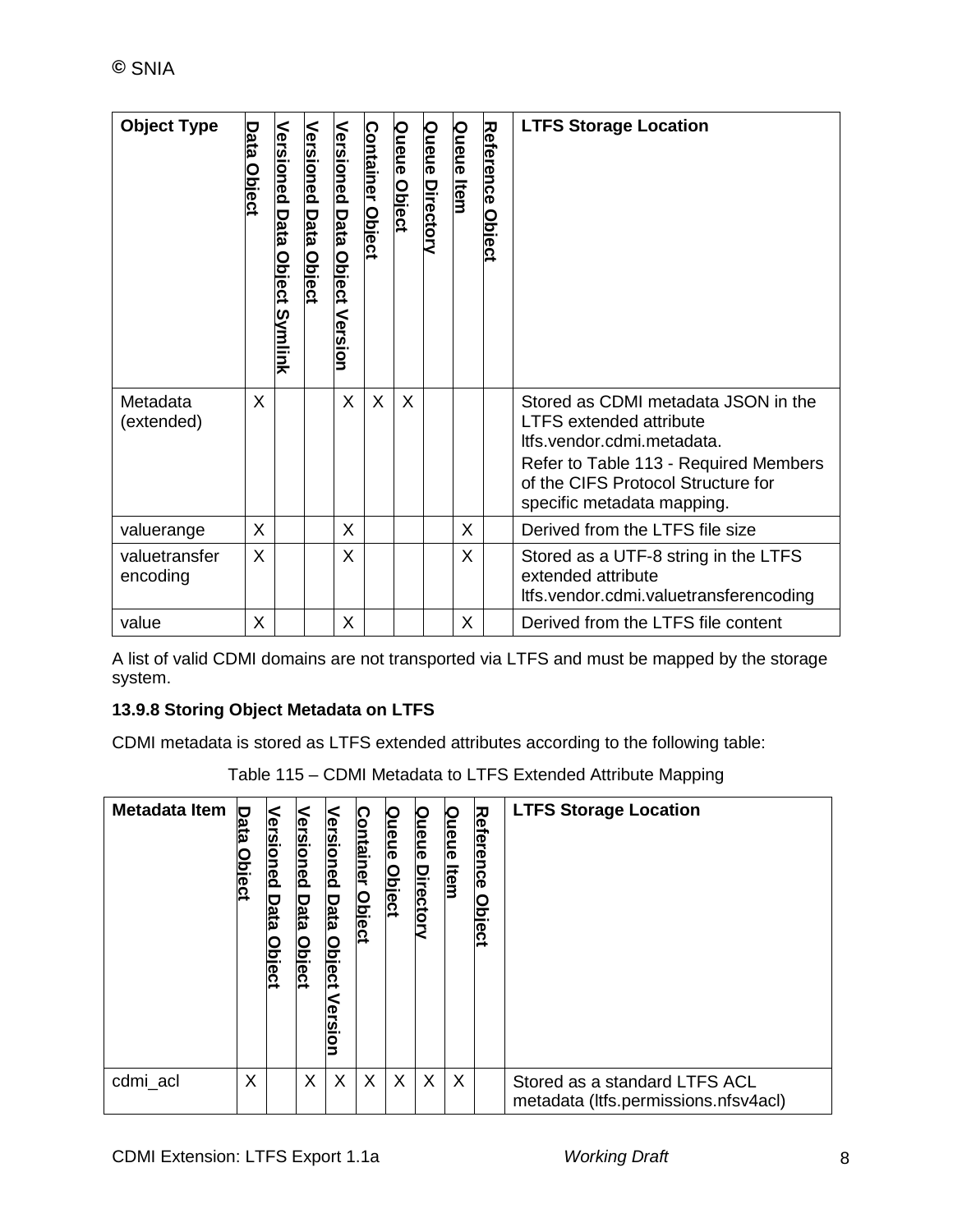| <b>Object Type</b>        | Data (<br><u>Object</u> | <u>Versioned</u><br>Data<br>Object Symlink | Versioned<br><b>Data Object</b> | <u>Versioned</u><br>Data Object<br>Version | <b>Container Object</b> | <b>Queue Object</b> | Queue Directory | <u>Queue Item</u> | Reference Object | <b>LTFS Storage Location</b>                                                                                                                                                                                     |
|---------------------------|-------------------------|--------------------------------------------|---------------------------------|--------------------------------------------|-------------------------|---------------------|-----------------|-------------------|------------------|------------------------------------------------------------------------------------------------------------------------------------------------------------------------------------------------------------------|
| Metadata<br>(extended)    | X                       |                                            |                                 | X                                          | X                       | $\times$            |                 |                   |                  | Stored as CDMI metadata JSON in the<br><b>LTFS extended attribute</b><br>Itfs.vendor.cdmi.metadata.<br>Refer to Table 113 - Required Members<br>of the CIFS Protocol Structure for<br>specific metadata mapping. |
| valuerange                | X                       |                                            |                                 | X                                          |                         |                     |                 | X                 |                  | Derived from the LTFS file size                                                                                                                                                                                  |
| valuetransfer<br>encoding | X                       |                                            |                                 | X                                          |                         |                     |                 | X                 |                  | Stored as a UTF-8 string in the LTFS<br>extended attribute<br>Itfs.vendor.cdmi.valuetransferencoding                                                                                                             |
| value                     | X                       |                                            |                                 | $\pmb{\mathsf{X}}$                         |                         |                     |                 | X                 |                  | Derived from the LTFS file content                                                                                                                                                                               |

A list of valid CDMI domains are not transported via LTFS and must be mapped by the storage system.

#### **13.9.8 Storing Object Metadata on LTFS**

CDMI metadata is stored as LTFS extended attributes according to the following table:

Table 115 – CDMI Metadata to LTFS Extended Attribute Mapping

| Metadata Item | <b>Data</b><br><b>blect</b> | Versi | Versioned<br><u>loject</u> | <u>Versioned</u><br><b>Data</b><br><u>Object</u><br><<br>ersion | Container<br><b>Object</b> | Queue<br><b>Object</b> | Queue<br><b>Directory</b> | Queue<br><u>Item</u> | <b>Reference</b><br><b>Object</b> | <b>LTFS Storage Location</b>                                          |
|---------------|-----------------------------|-------|----------------------------|-----------------------------------------------------------------|----------------------------|------------------------|---------------------------|----------------------|-----------------------------------|-----------------------------------------------------------------------|
| cdmi_acl      | X                           |       | X                          | X                                                               | X                          | X                      | X                         | X                    |                                   | Stored as a standard LTFS ACL<br>metadata (Itfs.permissions.nfsv4acl) |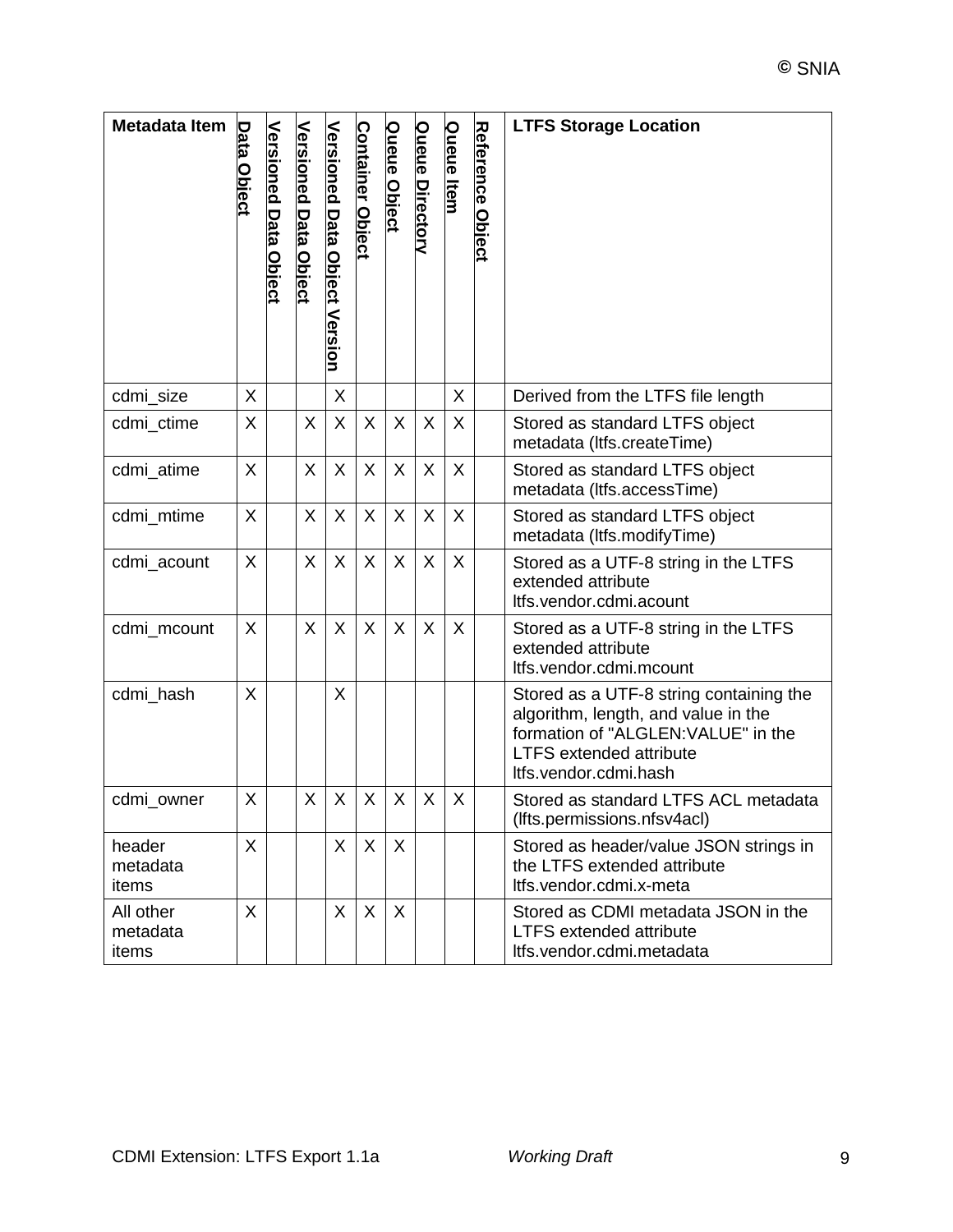| Metadata Item                  | Data Object | <b>Versioned Data Object</b> | <b>Versioned Data Object</b> | <b>Versioned Data Object Version</b> | <b>Container Object</b> | <b>Queue Object</b> | <b>Queue Directory</b> | <b>Queue Item</b> | <b>Reference Object</b> | <b>LTFS Storage Location</b>                                                                                                                                                     |
|--------------------------------|-------------|------------------------------|------------------------------|--------------------------------------|-------------------------|---------------------|------------------------|-------------------|-------------------------|----------------------------------------------------------------------------------------------------------------------------------------------------------------------------------|
| cdmi_size                      | X           |                              |                              | X                                    |                         |                     |                        | X                 |                         | Derived from the LTFS file length                                                                                                                                                |
| cdmi_ctime                     | X           |                              | X                            | X                                    | X                       | X                   | X                      | X                 |                         | Stored as standard LTFS object<br>metadata (Itfs.createTime)                                                                                                                     |
| cdmi_atime                     | X           |                              | X                            | X                                    | X                       | X                   | X                      | X                 |                         | Stored as standard LTFS object<br>metadata (Itfs.accessTime)                                                                                                                     |
| cdmi_mtime                     | X           |                              | X                            | X                                    | X                       | X                   | X                      | X                 |                         | Stored as standard LTFS object<br>metadata (Itfs.modifyTime)                                                                                                                     |
| cdmi_acount                    | X           |                              | X                            | X                                    | X                       | X                   | X                      | X                 |                         | Stored as a UTF-8 string in the LTFS<br>extended attribute<br>Itfs.vendor.cdmi.acount                                                                                            |
| cdmi_mcount                    | X           |                              | X                            | $\sf X$                              | $\sf X$                 | X                   | X                      | X                 |                         | Stored as a UTF-8 string in the LTFS<br>extended attribute<br>Itfs.vendor.cdmi.mcount                                                                                            |
| cdmi_hash                      | X           |                              |                              | X                                    |                         |                     |                        |                   |                         | Stored as a UTF-8 string containing the<br>algorithm, length, and value in the<br>formation of "ALGLEN: VALUE" in the<br><b>LTFS extended attribute</b><br>Itfs.vendor.cdmi.hash |
| cdmi owner                     | X           |                              | X                            | X                                    | X                       | $\sf X$             | X                      | X                 |                         | Stored as standard LTFS ACL metadata<br>(Ifts.permissions.nfsv4acl)                                                                                                              |
| header<br>metadata<br>items    | X           |                              |                              | X                                    | X                       | X                   |                        |                   |                         | Stored as header/value JSON strings in<br>the LTFS extended attribute<br>Itfs.vendor.cdmi.x-meta                                                                                 |
| All other<br>metadata<br>items | X           |                              |                              | X                                    | $\sf X$                 | X                   |                        |                   |                         | Stored as CDMI metadata JSON in the<br><b>LTFS extended attribute</b><br>Itfs.vendor.cdmi.metadata                                                                               |